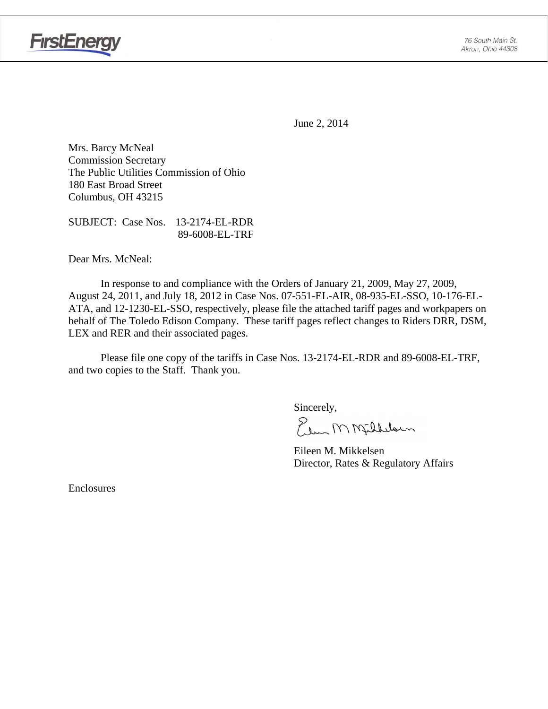

June 2, 2014

Mrs. Barcy McNeal Commission Secretary The Public Utilities Commission of Ohio 180 East Broad Street Columbus, OH 43215

SUBJECT: Case Nos. 13-2174-EL-RDR 89-6008-EL-TRF

Dear Mrs. McNeal:

 In response to and compliance with the Orders of January 21, 2009, May 27, 2009, August 24, 2011, and July 18, 2012 in Case Nos. 07-551-EL-AIR, 08-935-EL-SSO, 10-176-EL-ATA, and 12-1230-EL-SSO, respectively, please file the attached tariff pages and workpapers on behalf of The Toledo Edison Company. These tariff pages reflect changes to Riders DRR, DSM, LEX and RER and their associated pages.

Please file one copy of the tariffs in Case Nos. 13-2174-EL-RDR and 89-6008-EL-TRF, and two copies to the Staff. Thank you.

Sincerely,

Elem M Milleloun

 Eileen M. Mikkelsen Director, Rates & Regulatory Affairs

Enclosures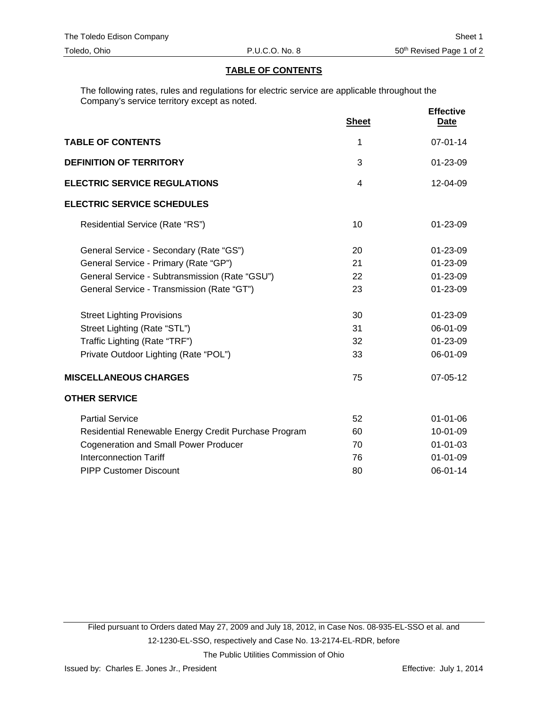# **TABLE OF CONTENTS**

The following rates, rules and regulations for electric service are applicable throughout the Company's service territory except as noted.

|                                                      | <b>Sheet</b> | <b>Effective</b><br><u>Date</u> |
|------------------------------------------------------|--------------|---------------------------------|
| <b>TABLE OF CONTENTS</b>                             | 1            | $07 - 01 - 14$                  |
| <b>DEFINITION OF TERRITORY</b>                       | 3            | 01-23-09                        |
| <b>ELECTRIC SERVICE REGULATIONS</b>                  | 4            | 12-04-09                        |
| <b>ELECTRIC SERVICE SCHEDULES</b>                    |              |                                 |
| Residential Service (Rate "RS")                      | 10           | 01-23-09                        |
| General Service - Secondary (Rate "GS")              | 20           | 01-23-09                        |
| General Service - Primary (Rate "GP")                | 21           | 01-23-09                        |
| General Service - Subtransmission (Rate "GSU")       | 22           | 01-23-09                        |
| General Service - Transmission (Rate "GT")           | 23           | 01-23-09                        |
| <b>Street Lighting Provisions</b>                    | 30           | 01-23-09                        |
| Street Lighting (Rate "STL")                         | 31           | 06-01-09                        |
| Traffic Lighting (Rate "TRF")                        | 32           | 01-23-09                        |
| Private Outdoor Lighting (Rate "POL")                | 33           | 06-01-09                        |
| <b>MISCELLANEOUS CHARGES</b>                         | 75           | 07-05-12                        |
| <b>OTHER SERVICE</b>                                 |              |                                 |
| <b>Partial Service</b>                               | 52           | $01 - 01 - 06$                  |
| Residential Renewable Energy Credit Purchase Program | 60           | 10-01-09                        |
| <b>Cogeneration and Small Power Producer</b>         | 70           | $01 - 01 - 03$                  |
| <b>Interconnection Tariff</b>                        | 76           | $01 - 01 - 09$                  |
| <b>PIPP Customer Discount</b>                        | 80           | 06-01-14                        |

Filed pursuant to Orders dated May 27, 2009 and July 18, 2012, in Case Nos. 08-935-EL-SSO et al. and 12-1230-EL-SSO, respectively and Case No. 13-2174-EL-RDR, before The Public Utilities Commission of Ohio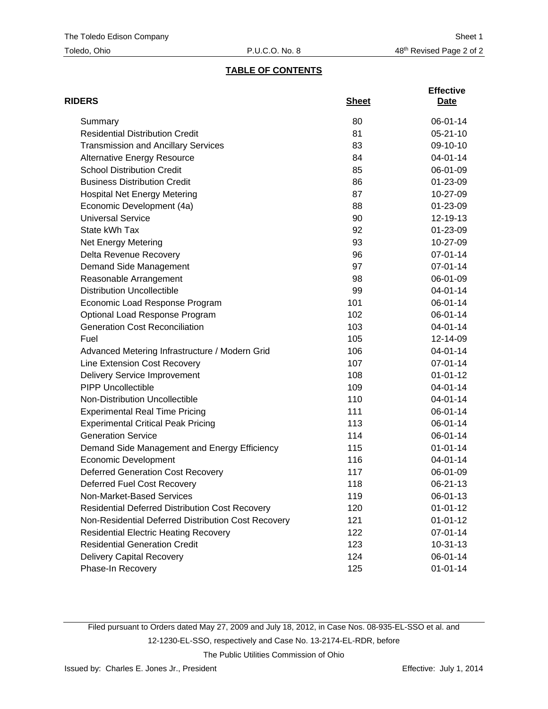# **TABLE OF CONTENTS**

| <b>RIDERS</b>                                          | <b>Sheet</b> | <b>Effective</b><br>Date |
|--------------------------------------------------------|--------------|--------------------------|
| Summary                                                | 80           | 06-01-14                 |
| <b>Residential Distribution Credit</b>                 | 81           | $05 - 21 - 10$           |
| <b>Transmission and Ancillary Services</b>             | 83           | 09-10-10                 |
| <b>Alternative Energy Resource</b>                     | 84           | 04-01-14                 |
| <b>School Distribution Credit</b>                      | 85           | 06-01-09                 |
| <b>Business Distribution Credit</b>                    | 86           | 01-23-09                 |
| <b>Hospital Net Energy Metering</b>                    | 87           | 10-27-09                 |
| Economic Development (4a)                              | 88           | 01-23-09                 |
| <b>Universal Service</b>                               | 90           | 12-19-13                 |
| State kWh Tax                                          | 92           | 01-23-09                 |
| Net Energy Metering                                    | 93           | 10-27-09                 |
| Delta Revenue Recovery                                 | 96           | 07-01-14                 |
| Demand Side Management                                 | 97           | 07-01-14                 |
| Reasonable Arrangement                                 | 98           | 06-01-09                 |
| <b>Distribution Uncollectible</b>                      | 99           | 04-01-14                 |
| Economic Load Response Program                         | 101          | 06-01-14                 |
| Optional Load Response Program                         | 102          | 06-01-14                 |
| <b>Generation Cost Reconciliation</b>                  | 103          | 04-01-14                 |
| Fuel                                                   | 105          | 12-14-09                 |
| Advanced Metering Infrastructure / Modern Grid         | 106          | 04-01-14                 |
| Line Extension Cost Recovery                           | 107          | 07-01-14                 |
| <b>Delivery Service Improvement</b>                    | 108          | $01 - 01 - 12$           |
| <b>PIPP Uncollectible</b>                              | 109          | 04-01-14                 |
| Non-Distribution Uncollectible                         | 110          | 04-01-14                 |
| <b>Experimental Real Time Pricing</b>                  | 111          | 06-01-14                 |
| <b>Experimental Critical Peak Pricing</b>              | 113          | 06-01-14                 |
| <b>Generation Service</b>                              | 114          | 06-01-14                 |
| Demand Side Management and Energy Efficiency           | 115          | $01 - 01 - 14$           |
| <b>Economic Development</b>                            | 116          | 04-01-14                 |
| <b>Deferred Generation Cost Recovery</b>               | 117          | 06-01-09                 |
| Deferred Fuel Cost Recovery                            | 118          | 06-21-13                 |
| Non-Market-Based Services                              | 119          | 06-01-13                 |
| <b>Residential Deferred Distribution Cost Recovery</b> | 120          | $01 - 01 - 12$           |
| Non-Residential Deferred Distribution Cost Recovery    | 121          | $01 - 01 - 12$           |
| <b>Residential Electric Heating Recovery</b>           | 122          | 07-01-14                 |
| <b>Residential Generation Credit</b>                   | 123          | $10-31-13$               |
| <b>Delivery Capital Recovery</b>                       | 124          | 06-01-14                 |
| Phase-In Recovery                                      | 125          | $01 - 01 - 14$           |

Filed pursuant to Orders dated May 27, 2009 and July 18, 2012, in Case Nos. 08-935-EL-SSO et al. and 12-1230-EL-SSO, respectively and Case No. 13-2174-EL-RDR, before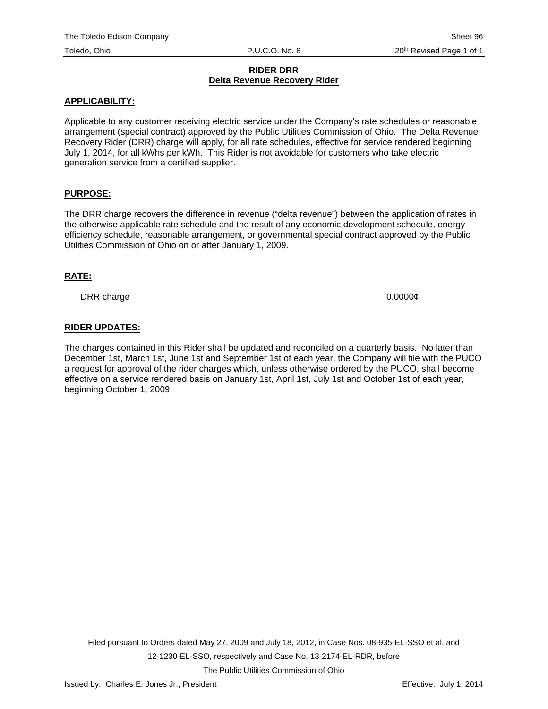## **RIDER DRR Delta Revenue Recovery Rider**

# **APPLICABILITY:**

Applicable to any customer receiving electric service under the Company's rate schedules or reasonable arrangement (special contract) approved by the Public Utilities Commission of Ohio. The Delta Revenue Recovery Rider (DRR) charge will apply, for all rate schedules, effective for service rendered beginning July 1, 2014, for all kWhs per kWh. This Rider is not avoidable for customers who take electric generation service from a certified supplier.

# **PURPOSE:**

The DRR charge recovers the difference in revenue ("delta revenue") between the application of rates in the otherwise applicable rate schedule and the result of any economic development schedule, energy efficiency schedule, reasonable arrangement, or governmental special contract approved by the Public Utilities Commission of Ohio on or after January 1, 2009.

# **RATE:**

DRR charge  $0.00000\ell$ 

# **RIDER UPDATES:**

The charges contained in this Rider shall be updated and reconciled on a quarterly basis. No later than December 1st, March 1st, June 1st and September 1st of each year, the Company will file with the PUCO a request for approval of the rider charges which, unless otherwise ordered by the PUCO, shall become effective on a service rendered basis on January 1st, April 1st, July 1st and October 1st of each year, beginning October 1, 2009.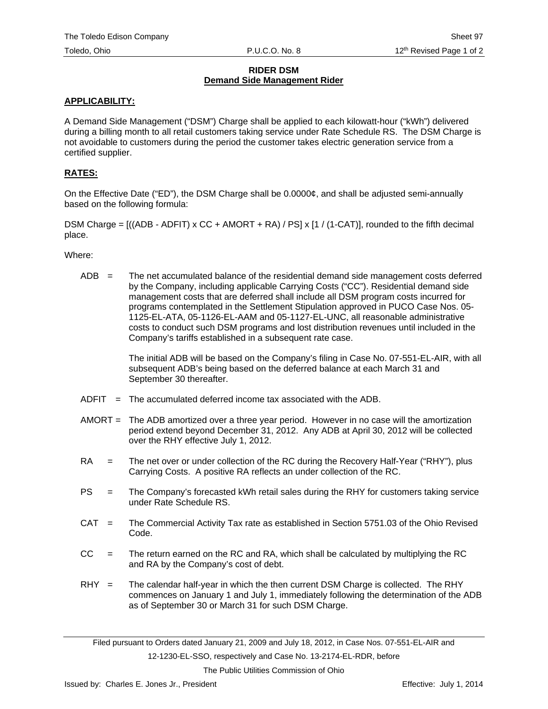# **RIDER DSM Demand Side Management Rider**

# **APPLICABILITY:**

A Demand Side Management ("DSM") Charge shall be applied to each kilowatt-hour ("kWh") delivered during a billing month to all retail customers taking service under Rate Schedule RS. The DSM Charge is not avoidable to customers during the period the customer takes electric generation service from a certified supplier.

# **RATES:**

On the Effective Date ("ED"), the DSM Charge shall be 0.0000¢, and shall be adjusted semi-annually based on the following formula:

DSM Charge =  $((ADB - ADFIT) \times CC + AMORT + RA) / PS \times [1 / (1 - CAT)]$ , rounded to the fifth decimal place.

Where:

ADB = The net accumulated balance of the residential demand side management costs deferred by the Company, including applicable Carrying Costs ("CC"). Residential demand side management costs that are deferred shall include all DSM program costs incurred for programs contemplated in the Settlement Stipulation approved in PUCO Case Nos. 05- 1125-EL-ATA, 05-1126-EL-AAM and 05-1127-EL-UNC, all reasonable administrative costs to conduct such DSM programs and lost distribution revenues until included in the Company's tariffs established in a subsequent rate case.

> The initial ADB will be based on the Company's filing in Case No. 07-551-EL-AIR, with all subsequent ADB's being based on the deferred balance at each March 31 and September 30 thereafter.

- $ADFIT = The accumulated deferred income tax associated with the ADB.$
- AMORT = The ADB amortized over a three year period. However in no case will the amortization period extend beyond December 31, 2012. Any ADB at April 30, 2012 will be collected over the RHY effective July 1, 2012.
- RA = The net over or under collection of the RC during the Recovery Half-Year ("RHY"), plus Carrying Costs. A positive RA reflects an under collection of the RC.
- PS = The Company's forecasted kWh retail sales during the RHY for customers taking service under Rate Schedule RS.
- CAT = The Commercial Activity Tax rate as established in Section 5751.03 of the Ohio Revised Code.
- $CC =$  The return earned on the RC and RA, which shall be calculated by multiplying the RC and RA by the Company's cost of debt.
- $RHY =$  The calendar half-year in which the then current DSM Charge is collected. The RHY commences on January 1 and July 1, immediately following the determination of the ADB as of September 30 or March 31 for such DSM Charge.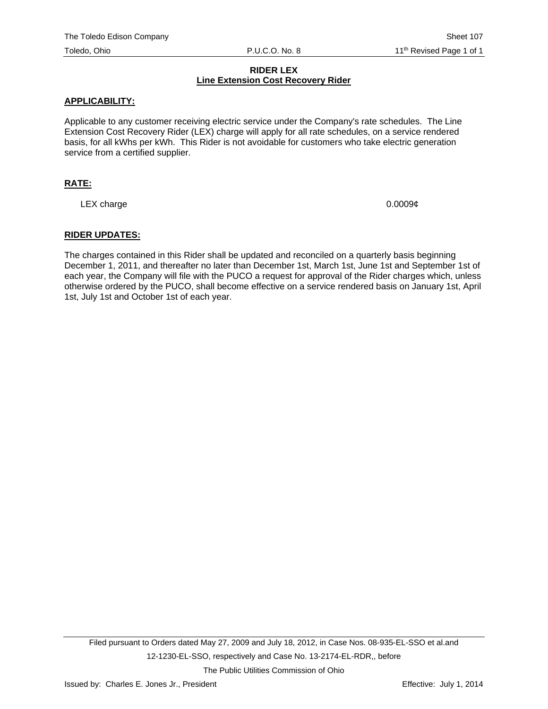# **RIDER LEX Line Extension Cost Recovery Rider**

# **APPLICABILITY:**

Applicable to any customer receiving electric service under the Company's rate schedules. The Line Extension Cost Recovery Rider (LEX) charge will apply for all rate schedules, on a service rendered basis, for all kWhs per kWh. This Rider is not avoidable for customers who take electric generation service from a certified supplier.

# **RATE:**

LEX charge  $0.0009\ell$ 

# **RIDER UPDATES:**

The charges contained in this Rider shall be updated and reconciled on a quarterly basis beginning December 1, 2011, and thereafter no later than December 1st, March 1st, June 1st and September 1st of each year, the Company will file with the PUCO a request for approval of the Rider charges which, unless otherwise ordered by the PUCO, shall become effective on a service rendered basis on January 1st, April 1st, July 1st and October 1st of each year.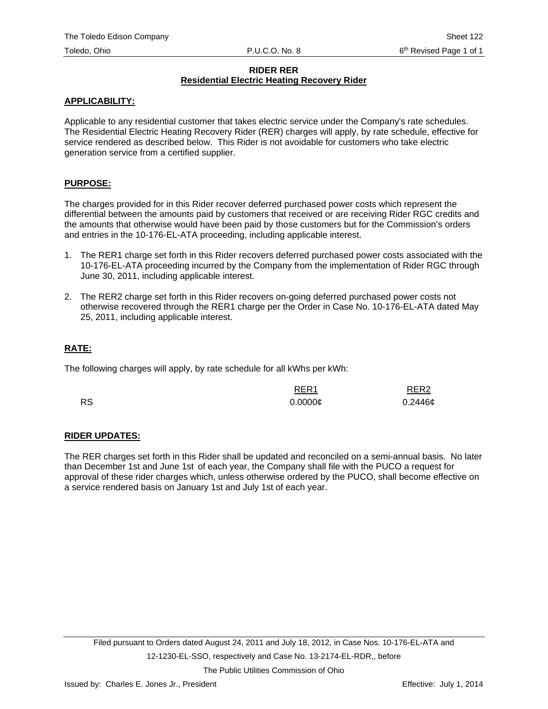# **RIDER RER Residential Electric Heating Recovery Rider**

# **APPLICABILITY:**

Applicable to any residential customer that takes electric service under the Company's rate schedules. The Residential Electric Heating Recovery Rider (RER) charges will apply, by rate schedule, effective for service rendered as described below. This Rider is not avoidable for customers who take electric generation service from a certified supplier.

# **PURPOSE:**

The charges provided for in this Rider recover deferred purchased power costs which represent the differential between the amounts paid by customers that received or are receiving Rider RGC credits and the amounts that otherwise would have been paid by those customers but for the Commission's orders and entries in the 10-176-EL-ATA proceeding, including applicable interest.

- 1. The RER1 charge set forth in this Rider recovers deferred purchased power costs associated with the 10-176-EL-ATA proceeding incurred by the Company from the implementation of Rider RGC through June 30, 2011, including applicable interest.
- 2. The RER2 charge set forth in this Rider recovers on-going deferred purchased power costs not otherwise recovered through the RER1 charge per the Order in Case No. 10-176-EL-ATA dated May 25, 2011, including applicable interest.

# **RATE:**

The following charges will apply, by rate schedule for all kWhs per kWh:

|           | RER <sub>1</sub><br><b>Contract Contract Contract Contract</b> | RER <sub>2</sub> |
|-----------|----------------------------------------------------------------|------------------|
| <b>RS</b> | $0.0000\mathcal{C}$                                            | $0.2446\phi$     |

# **RIDER UPDATES:**

The RER charges set forth in this Rider shall be updated and reconciled on a semi-annual basis. No later than December 1st and June 1st of each year, the Company shall file with the PUCO a request for approval of these rider charges which, unless otherwise ordered by the PUCO, shall become effective on a service rendered basis on January 1st and July 1st of each year.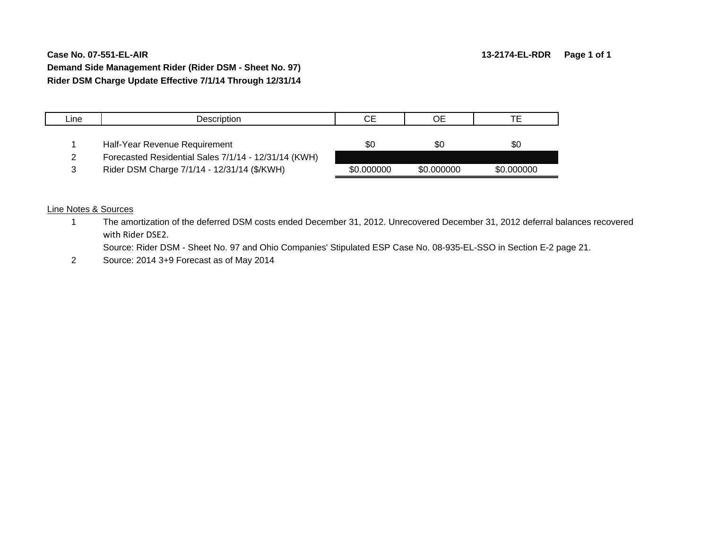# **Case No. 07-551-EL-AIRDemand Side Management Rider (Rider DSM - Sheet No. 97) Rider DSM Charge Update Effective 7/1/14 Through 12/31/14**

| Line | Description                                          | CЕ         | ОE         | ТE         |
|------|------------------------------------------------------|------------|------------|------------|
|      |                                                      |            |            |            |
|      | Half-Year Revenue Requirement                        | \$0        | \$0        | \$0        |
|      | Forecasted Residential Sales 7/1/14 - 12/31/14 (KWH) |            |            |            |
|      | Rider DSM Charge 7/1/14 - 12/31/14 (\$/KWH)          | \$0.000000 | \$0.000000 | \$0,000000 |

## Line Notes & Sources

1 The amortization of the deferred DSM costs ended December 31, 2012. Unrecovered December 31, 2012 deferral balances recovered with Rider DSE2.

Source: Rider DSM - Sheet No. 97 and Ohio Companies' Stipulated ESP Case No. 08-935-EL-SSO in Section E-2 page 21.

2 Source: 2014 3+9 Forecast as of May 2014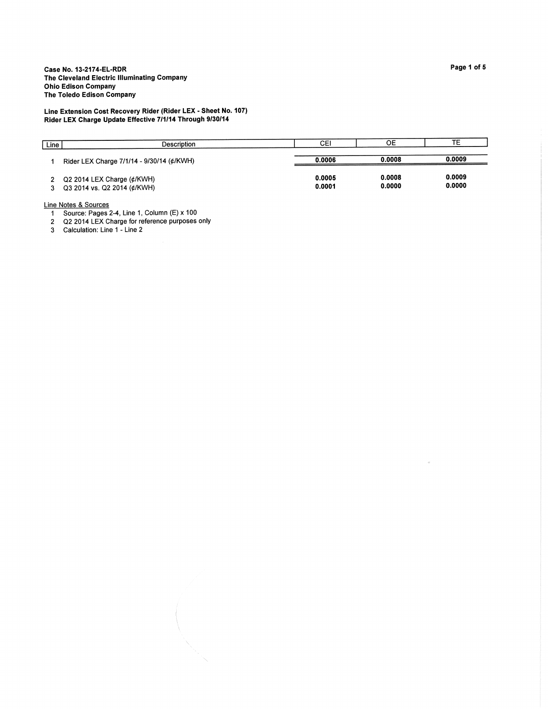Line Extension Cost Recovery Rider (Rider LEX - Sheet No. 107)<br>Rider LEX Charge Update Effective 7/1/14 Through 9/30/14

| Line | Description                                               | CEI              | OЕ               | TЕ               |
|------|-----------------------------------------------------------|------------------|------------------|------------------|
|      | Rider LEX Charge 7/1/14 - 9/30/14 (¢/KWH)                 | 0.0006           | 0.0008           | 0.0009           |
|      | Q2 2014 LEX Charge (¢/KWH)<br>Q3 2014 vs. Q2 2014 (¢/KWH) | 0.0005<br>0.0001 | 0.0008<br>0.0000 | 0.0009<br>0.0000 |

Line Notes & Sources

1 Source: Pages 2-4, Line 1, Column (E) x 100<br>2 Q2 2014 LEX Charge for reference purposes only

3 Calculation: Line 1 - Line 2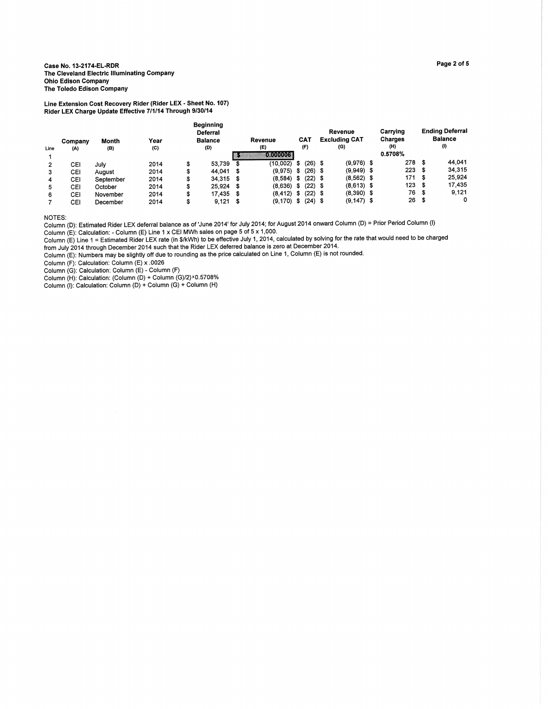Line Extension Cost Recovery Rider (Rider LEX - Sheet No. 107) Rider LEX Charge Update Effective 7/1/14 Through 9/30/14

| Line | Companv<br>(A) | Month<br>(B) | Year<br>(C) |    | <b>Beginning</b><br>Deferral<br><b>Balance</b><br>(D) |      | Revenue<br>(E)         |   | CAT<br>(F) | Revenue<br><b>Excluding CAT</b><br>(G) | Carrying<br>Charges<br>(H) |      | <b>Ending Deferral</b><br><b>Balance</b><br>(1) |
|------|----------------|--------------|-------------|----|-------------------------------------------------------|------|------------------------|---|------------|----------------------------------------|----------------------------|------|-------------------------------------------------|
|      |                |              |             |    |                                                       |      |                        |   |            |                                        | 0.5708%                    |      |                                                 |
|      | CEI            | July         | 2014        | \$ | 53.739                                                |      | (10.002)               | S | $(26)$ \$  | $(9,976)$ \$                           | 278                        | - \$ | 44.041                                          |
| з    | CEI            | August       | 2014        | \$ | 44.041 \$                                             |      | $(9,975)$ \$           |   | $(26)$ \$  | $(9,949)$ \$                           | 223                        | - \$ | 34.315                                          |
| 4    | CEI            | September    | 2014        | S  | $34.315$ \$                                           |      | $(8,584)$ \$           |   | $(22)$ \$  | $(8,562)$ \$                           | 171                        | - \$ | 25.924                                          |
| 5    | CEI            | October      | 2014        | \$ | $25.924$ \$                                           |      | $(8.636)$ \$           |   | $(22)$ \$  | $(8,613)$ \$                           | 123                        | - \$ | 17.435                                          |
| 6    | CEI            | November     | 2014        | \$ | $17.435$ \$                                           |      | $(8, 412)$ \$          |   | $(22)$ \$  | $(8,390)$ \$                           | 76                         | - \$ | 9.121                                           |
|      | CEI            | December     | 2014        | \$ | 9,121                                                 | - \$ | $(9,170)$ \$ $(24)$ \$ |   |            | $(9, 147)$ \$                          | 26                         | - \$ | 0                                               |

NOTES:

Column (D): Estimated Rider LEX deferral balance as of 'June 2014' for July 2014; for August 2014 onward Column (D) = Prior Period Column (I)

Column (E): Calculation: - Column (E) Line 1 x CEI MWh sales on page 5 of 5 x 1,000.

Column (E) Line 1 = Estimated Rider LEX rate (in \$/kWh) to be effective July 1, 2014, calculated by solving for the rate that would need to be charged From July 2014 through December 2014 such that the Rider LEX deferred balance is zero at December 2014.<br>The State of December 2014 such that the Rider LEX deferred balance is zero at December 2014.<br>Column (E): Numbers may

Column (F): Calculation: Column (E) x .0026

Column (G): Calculation: Column (E) - Column (F)<br>Column (G): Calculation: Column (E) - Column (F)<br>Column (H): Calculation: (Column (D) + Column (G)/2)×0.5708%

Column (I): Calculation: Column (D) + Column (G) + Column (H)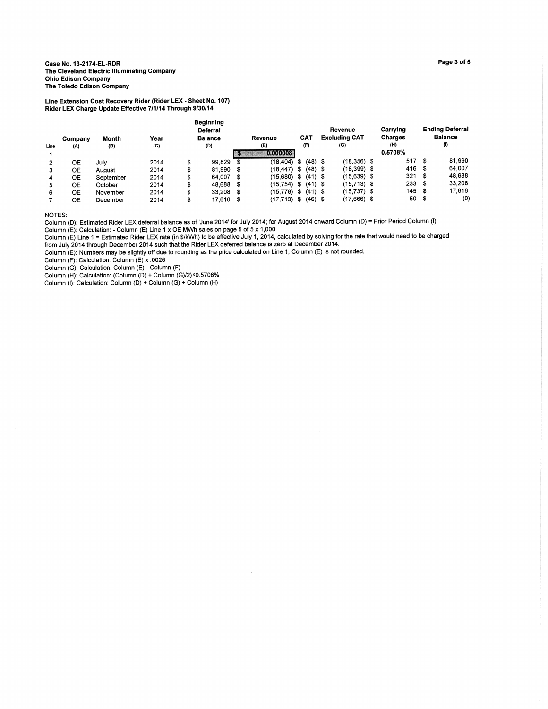Line Extension Cost Recovery Rider (Rider LEX - Sheet No. 107)<br>Rider LEX Charge Update Effective 7/1/14 Through 9/30/14

|      |         |           |      |   | <b>Beginning</b><br>Deferral |      |                 |    |           |  | Revenue              |      | Carrying       | <b>Ending Deferral</b> |                |
|------|---------|-----------|------|---|------------------------------|------|-----------------|----|-----------|--|----------------------|------|----------------|------------------------|----------------|
|      | Companv | Month     | Year |   | <b>Balance</b>               |      | Revenue         |    | CAT       |  | <b>Excluding CAT</b> |      | Charges        |                        | <b>Balance</b> |
| Line | (A)     | (B)       | (C)  |   | (D)                          |      | (E)             |    | (F)       |  | (G)                  |      | (H)<br>0.5708% |                        | O)             |
|      |         |           |      |   |                              |      | <b>OCOOOOE!</b> |    |           |  |                      |      |                |                        |                |
| 2    | OE      | Julv      | 2014 |   | 99.829                       | S    | (18.404)        | \$ | $(48)$ \$ |  | (18,356)             | - 36 | 517            | -5                     | 81,990         |
| 3    | OE      | August    | 2014 |   | 81.990                       | -S   | $(18.447)$ \$   |    | $(48)$ \$ |  | (18.399)             | - 36 | 416            | - \$                   | 64.007         |
| 4    | OE      | September | 2014 |   | 64.007                       | - 56 | (15,680) \$     |    | $(41)$ \$ |  | (15,639)             | - 36 | 321            | - 36                   | 48,688         |
| 5    | OE      | October   | 2014 | S | 48.688                       | S    | (15.754) \$     |    | $(41)$ \$ |  | (15.713) \$          |      | 233            | - \$                   | 33,208         |
| 6    | OE      | November  | 2014 |   | 33.208 \$                    |      | (15.778) \$     |    | $(41)$ \$ |  | (15,737) \$          |      | 145            | -5                     | 17.616         |
|      | ОE      | December  | 2014 |   | 17,616                       | - 35 | (17.713) \$     |    | $(46)$ \$ |  | (17,666)             | - 5  | 50             | - \$                   | (0)            |

NOTES:

Column (D): Estimated Rider LEX deferral balance as of 'June 2014' for July 2014; for August 2014 onward Column (D) = Prior Period Column (I) Column (E): Calculation: - Column (E) Line 1 x OE MWh sales on page 5 of 5 x 1,000.

Column (E) Line 1 = Estimated Rider LEX rate (in \$/kWh) to be effective July 1, 2014, calculated by solving for the rate that would need to be charged

from July 2014 through December 2014 such that the Rider LEX deferred balance is zero at December 2014.<br>Column (E): Numbers may be slightly off due to rounding as the price calculated on Line 1, Column (E) is not rounded.

Column (F): Calculation: Column (E) x .0026

Column (G): Calculation: Column (E) - Column (F)

Column (H): Calculation: (Column (D) + Column (G)/2)×0.5708%<br>Column (H): Calculation: (Column (D) + Column (G)/2)×0.5708%<br>Column (I): Calculation: Column (D) + Column (G) + Column (H)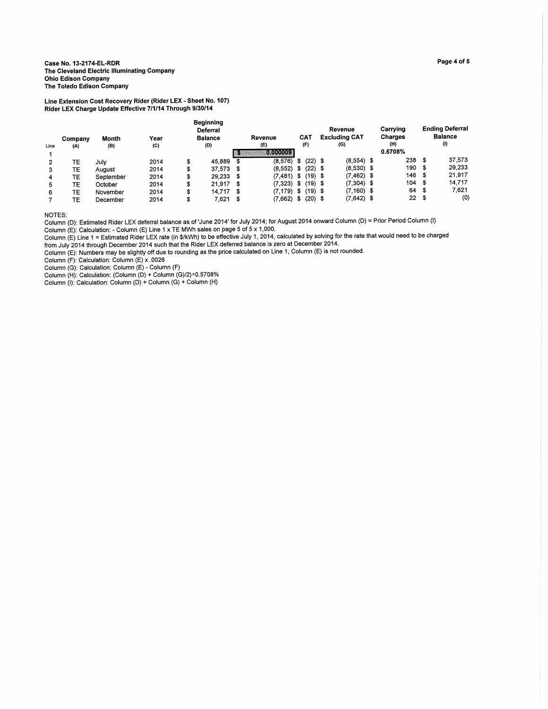Line Extension Cost Recovery Rider (Rider LEX - Sheet No. 107)<br>Rider LEX Charge Update Effective 7/1/14 Through 9/30/14

| Line | Company<br>(A) | Month<br>(B) | Year<br>(C) |    | <b>Beginning</b><br>Deferral<br><b>Balance</b><br>(D) |    | Revenue<br>(E)                                                                                                                                                                                                                                                                                                                                                                                                           |      | <b>CAT</b><br>(F) | Revenue<br><b>Excluding CAT</b><br>(G) | Carrying<br>Charges<br>(H) |      | <b>Ending Deferral</b><br><b>Balance</b><br>(1) |
|------|----------------|--------------|-------------|----|-------------------------------------------------------|----|--------------------------------------------------------------------------------------------------------------------------------------------------------------------------------------------------------------------------------------------------------------------------------------------------------------------------------------------------------------------------------------------------------------------------|------|-------------------|----------------------------------------|----------------------------|------|-------------------------------------------------|
|      |                |              |             |    |                                                       |    | $\P(\mathbf{N}(\mathbf{N}(\mathbf{N}(\mathbf{N}(\mathbf{N}(\mathbf{N}(\mathbf{N}(\mathbf{N}(\mathbf{N}(\mathbf{N}(\mathbf{N}(\mathbf{N}(\mathbf{N}(\mathbf{N}(\mathbf{N}(\mathbf{N}(\mathbf{N}(\mathbf{N}(\mathbf{N}(\mathbf{N}(\mathbf{N}(\mathbf{N}(\mathbf{N}(\mathbf{N}(\mathbf{N}(\mathbf{N}(\mathbf{N}(\mathbf{N}(\mathbf{N}(\mathbf{N}(\mathbf{N}(\mathbf{N}(\mathbf{N}(\mathbf{N}(\mathbf{N}(\mathbf{N}(\mathbf$ |      |                   |                                        | 0.5708%                    |      |                                                 |
| 2    | ТE             | Julv         | 2014        | S  | 45,889                                                | S  | (8.576)                                                                                                                                                                                                                                                                                                                                                                                                                  | S    | $(22)$ \$         | $(8,554)$ \$                           | 238                        | - 36 | 37,573                                          |
| з    | TE             | August       | 2014        |    | 37.573                                                | S  | $(8.552)$ \$                                                                                                                                                                                                                                                                                                                                                                                                             |      | $(22)$ \$         | $(8,530)$ \$                           | 190                        | - \$ | 29.233                                          |
| 4    | TE             | September    | 2014        | S  | 29.233                                                | S  | $(7.481)$ \$                                                                                                                                                                                                                                                                                                                                                                                                             |      | $(19)$ \$         | $(7, 462)$ \$                          | 146                        | - \$ | 21.917                                          |
| 5    | TE             | October      | 2014        | S  | 21.917 \$                                             |    | (7.323)                                                                                                                                                                                                                                                                                                                                                                                                                  | - \$ | $(19)$ \$         | $(7,304)$ \$                           | 104                        | -\$  | 14.717                                          |
| 6    | TЕ             | November     | 2014        | \$ | 14.717                                                | S. | $(7.179)$ \$                                                                                                                                                                                                                                                                                                                                                                                                             |      | $(19)$ \$         | $(7, 160)$ \$                          | 64                         | - \$ | 7.621                                           |
|      | TE             | December     | 2014        | \$ | 7.621                                                 | S  | $(7,662)$ \$                                                                                                                                                                                                                                                                                                                                                                                                             |      | $(20)$ \$         | $(7,642)$ \$                           | 22                         | - \$ | (0)                                             |

NOTES:

Column (D): Estimated Rider LEX deferral balance as of 'June 2014' for July 2014; for August 2014 onward Column (D) = Prior Period Column (I)

Column  $(E)$ : Calculation: - Column (E) Line 1 x TE MWh sales on page 5 of 5 x 1,000. Column (E) Line 1 = Estimated Rider LEX rate (in \$/kWh) to be effective July 1, 2014, calculated by solving for the rate that would need to be charged

from July 2014 through December 2014 such that the Rider LEX deferred balance is zero at December 2014.<br>Column (E): Numbers may be slightly off due to rounding as the price calculated on Line 1, Column (E) is not rounded.

Column (F): Calculation: Column (E) x .0026

Column (G): Calculation: Column (E) - Column (F)

Column (H): Calculation: (Column (D) + Column (G)/2)×0.5708%

Column (I): Calculation: Column (D) + Column (G) + Column (H)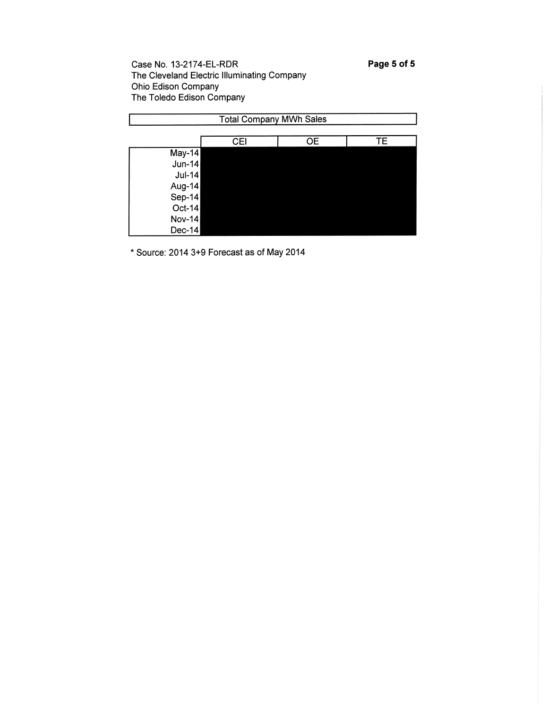| <b>Total Company MWh Sales</b> |            |           |    |  |  |  |  |  |  |  |  |  |
|--------------------------------|------------|-----------|----|--|--|--|--|--|--|--|--|--|
|                                |            |           |    |  |  |  |  |  |  |  |  |  |
|                                | <b>CEI</b> | <b>OE</b> | TE |  |  |  |  |  |  |  |  |  |
| May-14                         |            |           |    |  |  |  |  |  |  |  |  |  |
| <b>Jun-14</b>                  |            |           |    |  |  |  |  |  |  |  |  |  |
| <b>Jul-14</b>                  |            |           |    |  |  |  |  |  |  |  |  |  |
| Aug-14                         |            |           |    |  |  |  |  |  |  |  |  |  |
| $Sep-14$                       |            |           |    |  |  |  |  |  |  |  |  |  |
| $Oct-14$                       |            |           |    |  |  |  |  |  |  |  |  |  |
| $Nov-14$                       |            |           |    |  |  |  |  |  |  |  |  |  |
| Dec-14                         |            |           |    |  |  |  |  |  |  |  |  |  |

\* Source: 2014 3+9 Forecast as of May 2014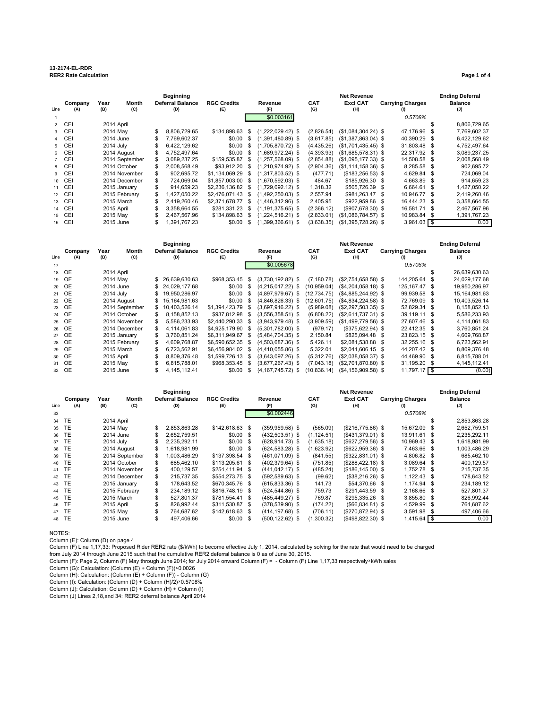# **13-2174-EL-RDR**

| <b>RER2 Rate Calculation</b> | Page 1 of 4 |
|------------------------------|-------------|
|                              |             |

**Company Year Month Beginning Deferral Balance RGC Credits Revenue CAT**<br>(D) (E) (F) (G) **Net Revenue Excl CAT Carrying Charges Ending Deferral Balance** Line **(A) (B) (C) (D) (E) (F) (G) (H) (I) (J)** 1 \$0.003161 *0.5708%* 2 CEI 2014 April \$ 8,806,729.65 3 CEI 2014 May \$ 8,806,729.65 \$134,898.63 \$ (1,222,029.42) \$ (2,826.54) (\$1,084,304.24) \$ 47,176.96 \$ 7,769,602.37<br>4 CEI 2014 June \$ 7,769,602.37 \$ \$0.00 \$ (1,391,480.89) \$ (3,617.85) (\$1,387,863.04) \$ 40.390.29 \$ 6.422.12 4 CEI 2014 June \$ 7,769,602.37 \$0.00 \$ (1,391,480.89) \$ (3,617.85) (\$1,387,863.04) \$ 40,390.29<br>5 CEI 2014 July \$ 6,422,129.62 \$0.00 \$ (1,705,870.72) \$ (4,435.26) (\$1,701,435.45) \$ 31.803.48 5 CEI 2014 July \$ 6,422,129.62 \$ \$0.00 \$ (1,705,870.72) \$ (4,435.26) (\$1,701,435.45) \$ 31,803.48 \$ 4,752,497.64<br>6 CEI 2014 August \$ 4.752.497.64 \$0.00 \$ (1.689.972.24) \$ (4.393.93) (\$1.685.578.31) \$ 22.317.92 \$ 3.089.237.2 6 CEI 2014 August \$ 4,752,497.64 \$ \$0.00 \$ (1,689,972.24) \$ (4,393.93)  $(1,685,578.31)$  \$ 22,317.92 \$ 7 CEI 2014 September \$ 3,089,237.25 \$159,535.87 \$ (1,257,568.09) \$ (2,854.88) (\$1,095,177.33) \$ 14,508.58 \$ 2,008,568.49<br>8 CEI 2014 October \$ 2,008,568.49 \$93,912.20 \$ (1,210,974.92) \$ (2,904.36) (\$1,114,158.36) \$ 8,285.58 8 CEI 2014 October \$ 2,008,568.49 \$93,912.20 \$ (1,210,974.92) \$ (2,904.36) (\$1,114,158.36) \$ 8,285.58 \$ 902,695.72 9 CEI 2014 November 902,695.72 \$ \$1,134,069.29 (1,317,803.52) \$ (477.71) \$ (\$183,256.53) 4,629.84 \$ 724,069.04 \$ 10 CEI 2014 December \$724,069.04 \$1,857,003.00 \$(1,670,592.03) \$484.67 \$185,926.30 \$4,663.89 \$914,659.23 11 CEI 2015 January \$ 914,659.23 \$2,236,136.82 \$ (1,729,092.12) \$ 1,318.32 \$505,726.39 \$ 6,664.61 \$ 1,427,050.22 12 CEI 2015 February 1,427,050.22 \$ \$2,476,071.43 (1,492,250.03) \$ 2,557.94 \$ \$981,263.47 10,946.77 \$ 2,419,260.46 \$ 13 CEI 2015 March \$ 2,419,260.46 \$2,371,678.77 \$ (1,446,312.96) \$ 2,405.95 \$922,959.86 \$ 16,444.23 \$ 3,358,664.55 14 CEI 2015 April 3, 3,358,664.55 \$281,331.23 \$ (1,191,375.65) \$ (2,366.12) (\$907,678.30) \$ 16,581.71 \$ 2,467,567.96<br>15 CEI 2015 May \$ 2,467,567.96 \$134,898.63 \$ (1,224,516.21) \$ (2,833.01) (\$1,086,784.57) \$ 10,983.84 \$ 1, 15 CEI 2015 May \$ 2,467,567.96 \$134,898.63 \$ (1,224,516.21) \$ (2,833.01) (\$1,086,784.57) \$ 10,983.84 \$ 1,391,767.23<br>16 CEI 2015 June \$ 1,391,767.23 \$ \$0.00 \$ (1,399,366.61) \$ (3,638.35) (\$1,395,728.26) \$ 3,961.03 \$ 0.00  $($ \$1,395,728.26) \$

|      |                |             |                |     | <b>Beginning</b>               |                           |      |                       |                   | <b>Net Revenue</b>     |                                | <b>Ending Deferral</b> |
|------|----------------|-------------|----------------|-----|--------------------------------|---------------------------|------|-----------------------|-------------------|------------------------|--------------------------------|------------------------|
| Line | Company<br>(A) | Year<br>(B) | Month<br>(C)   |     | <b>Deferral Balance</b><br>(D) | <b>RGC Credits</b><br>(E) |      | Revenue<br>(F)        | <b>CAT</b><br>(G) | <b>Excl CAT</b><br>(H) | <b>Carrying Charges</b><br>(1) | <b>Balance</b><br>(J)  |
| 17   |                |             |                |     |                                |                           |      | \$0.005678            |                   |                        | 0.5708%                        |                        |
|      | 18 OE          | 2014 April  |                |     |                                |                           |      |                       |                   |                        |                                | 26,639,630.63          |
|      | 19 OE          | 2014 May    |                |     | 26,639,630.63                  | \$968.353.45              | - \$ | $(3,730,192.82)$ \$   | (7.180.78)        | $($2,754,658.58)$ \$   | 144,205.64 \$                  | 24,029,177.68          |
|      | 20 OE          | 2014 June   |                |     | 24,029,177.68                  | \$0.00                    | -\$  | $(4.215.017.22)$ \$   | (10.959.04)       | $(S4.204.058.18)$ \$   | 125.167.47 \$                  | 19,950,286.97          |
|      | 21 OE          | 2014 July   |                |     | 19,950,286.97                  | \$0.00                    | - \$ | $(4.897.979.67)$ \$   | (12.734.75)       | $(\$4,885,244.92)$ \$  | 99,939.58 \$                   | 15, 164, 981.63        |
|      | 22 OE          |             | 2014 August    |     | \$15.164.981.63                | \$0.00                    | - \$ | $(4,846,826.33)$ \$   | 12.601.75         | $($4,834,224.58)$ \$   | 72,769.09 \$                   | 10,403,526.14          |
|      | 23 OE          |             | 2014 September | \$. | 10.403.526.14                  | \$1,394,423.79            | - \$ | $(3.697.916.22)$ \$   | (5.989.08)        | $($2,297,503.35)$ \$   | 52,829.34 \$                   | 8,158,852.13           |
|      | 24 OE          |             | 2014 October   |     | 8.158.852.13                   | \$937.812.98              | - \$ | $(3,556,358.51)$ \$   | (6,808.22)        | $($2,611,737.31)$ \$   | 39,119.11 \$                   | 5,586,233.93           |
|      | 25 OE          |             | 2014 November  |     | 5.586.233.93                   | \$2,440,290.33 \$         |      | $(3.943.979.48)$ \$   | (3,909.59)        | $($1,499,779.56)$ \$   | 27.607.46 \$                   | 4,114,061.83           |
|      | 26 OE          |             | 2014 December  |     | 4.114.061.83                   | \$4,925,179.90 \$         |      | $(5.301.782.00)$ \$   | (979.17)          | $(S375.622.94)$ \$     | 22,412.35 \$                   | 3,760,851.24           |
|      | 27 OE          |             | 2015 January   |     | 3.760.851.24                   | \$6.311.949.67            | - \$ | $(5.484.704.35)$ \$   | 2,150.84          | \$825,094.48 \$        | 23,823.15 \$                   | 4,609,768.87           |
|      | 28 OE          |             | 2015 February  |     | 4,609,768.87                   | \$6,590,652.35            | - \$ | $(4,503,687.36)$ \$   | 5,426.11          | \$2,081,538.88 \$      | 32,255.16 \$                   | 6,723,562.91           |
|      | 29 OE          |             | 2015 March     |     | 6.723.562.91                   | \$6,456,984.02 \$         |      | $(4.410.055.86)$ \$   | 5.322.01          | \$2,041,606.15 \$      | 44.207.42 \$                   | 8,809,376.48           |
|      | 30 OE          | 2015 April  |                |     | 8.809.376.48                   | \$1.599.726.13            | -\$  | $(3,643,097.26)$ \$   | (5.312.76)        | $($2,038,058.37)$ \$   | 44.469.90 \$                   | 6,815,788.01           |
|      | 31 OE          | 2015 May    |                |     | 6,815,788.01                   | \$968,353.45              | - \$ | $(3,677,267.43)$ \$   | (7,043.18)        | $($2,701,870.80)$ \$   | 31,195.20 \$                   | 4,145,112.41           |
|      | 32 OE          | 2015 June   |                |     | 4,145,112.41                   | \$0.00                    | - \$ | $(4, 167, 745.72)$ \$ | (10.836.14)       | $($4,156,909.58)$ \$   | $11,797.17$ \$                 | (0.00)                 |

|      | Beginning |            |                |  |                         |                    |  | <b>Net Revenue</b> |  |             |                     |      |                         | <b>Ending Deferral</b> |
|------|-----------|------------|----------------|--|-------------------------|--------------------|--|--------------------|--|-------------|---------------------|------|-------------------------|------------------------|
|      | Company   | Year       | Month          |  | <b>Deferral Balance</b> | <b>RGC Credits</b> |  | Revenue            |  | <b>CAT</b>  | <b>Excl CAT</b>     |      | <b>Carrying Charges</b> | <b>Balance</b>         |
| Line | (A)       | (B)        | (C)            |  | (D)                     | (E)                |  | (F)                |  | (G)         | (H)                 |      | (1)                     | (J)                    |
| 33   |           |            |                |  |                         |                    |  | \$0.002446         |  |             |                     |      | 0.5708%                 |                        |
| 34   | TE        | 2014 April |                |  |                         |                    |  |                    |  |             |                     |      |                         | 2,853,863.28           |
|      | 35 TE     | 2014 May   |                |  | 2.853.863.28            | $$142,618.63$ \$   |  | $(359.959.58)$ \$  |  | (565.09)    | $($216,775.86)$ \$  |      | 15,672.09 \$            | 2,652,759.51           |
|      | 36 TE     |            | 2014 June      |  | 2.652.759.51            | $$0.00$ \$         |  | $(432,503.51)$ \$  |  | (1, 124.51) | $(S431.379.01)$ \$  |      | 13.911.61 \$            | 2,235,292.11           |
|      | 37 TE     | 2014 July  |                |  | 2.235.292.11            | $$0.00$ \$         |  | (628,914.73) \$    |  | (1,635.18)  | $($627, 279.56)$ \$ |      | 10,969.43 \$            | 1,618,981.99           |
|      | 38 TE     |            | 2014 August    |  | 1.618.981.99            | $$0.00$ \$         |  | $(624, 583.28)$ \$ |  | (1,623.92)  | $($622,959.36)$ \$  |      | 7,463.66 \$             | 1,003,486.29           |
|      | 39 TE     |            | 2014 September |  | 1.003.486.29            | \$137,398.54 \$    |  | (461.071.09) \$    |  | (841.55)    | $(S322.831.01)$ \$  |      | 4.806.82 \$             | 685.462.10             |
|      | 40 TE     |            | 2014 October   |  | 685.462.10              | \$113,205.61 \$    |  | $(402, 379.64)$ \$ |  | (751.85)    | (\$288,422.18) \$   |      | 3,089.64 \$             | 400,129.57             |
|      | 41 TE     |            | 2014 November  |  | 400.129.57              | \$254.411.94 \$    |  | (441,042.17) \$    |  | (485.24)    | $($186, 145.00)$ \$ |      | 1,752.78 \$             | 215,737.35             |
|      | 42 TE     |            | 2014 December  |  | 215.737.35              | \$554,273.75 \$    |  | $(592, 589.63)$ \$ |  | (99.62)     | $(S38.216.26)$ \$   |      | $1,122.43$ \$           | 178,643.52             |
|      | 43 TE     |            | 2015 January   |  | 178.643.52              | \$670.345.76 \$    |  | $(615,833.36)$ \$  |  | 141.73      | \$54,370.66 \$      |      | 1.174.94 \$             | 234,189.12             |
|      | 44 TE     |            | 2015 February  |  | 234.189.12              | \$816,748.19 \$    |  | (524.544.86) \$    |  | 759.73      | \$291.443.59        | - \$ | 2,168.66 \$             | 527,801.37             |
|      | 45 TE     |            | 2015 March     |  | 527.801.37              | \$781,554.41 \$    |  | (485,449.27) \$    |  | 769.87      | \$295.335.26 \$     |      | 3,855.80 \$             | 826,992.44             |
|      | 46 TE     | 2015 April |                |  | 826.992.44              | \$311.530.87 \$    |  | $(378,539.90)$ \$  |  | (174.22)    | $(S66.834.81)$ \$   |      | 4,529.99 \$             | 764,687.62             |
|      | 47 TE     | 2015 May   |                |  | 764.687.62              | \$142,618.63 \$    |  | $(414, 197.68)$ \$ |  | (706.11)    | $($270,872.94)$ \$  |      | 3,591.98 \$             | 497,406.66             |
|      | 48 TE     |            | 2015 June      |  | 497,406.66              | $$0.00$ \$         |  | $(500, 122.62)$ \$ |  | (1,300.32)  | $($498,822.30)$ \$  |      | $1,415.64$ \$           | 0.00                   |

NOTES:

Column (E): Column (D) on page 4

Column (F) Line 1,17,33: Proposed Rider RER2 rate (\$/kWh) to become effective July 1, 2014, calculated by solving for the rate that would need to be charged

from July 2014 through June 2015 such that the cumulative RER2 deferral balance is 0 as of June 30, 2015.

Column (F): Page 2, Column (F) May through June 2014; for July 2014 onward Column (F) = - Column (F) Line 1,17,33 respectively \* kWh sales

Column (G): Calculation: (Column  $(E)$  + Column  $(F)$ ) × 0.0026

Column (H): Calculation: (Column (E) + Column (F)) - Column (G)

Column (I): Calculation: (Column (D) + Column (H)/2) $×0.5708%$ Column (J): Calculation: Column  $(D)$  + Column (H) + Column (I)

Column (J) Lines 2,18,and 34: RER2 deferral balance April 2014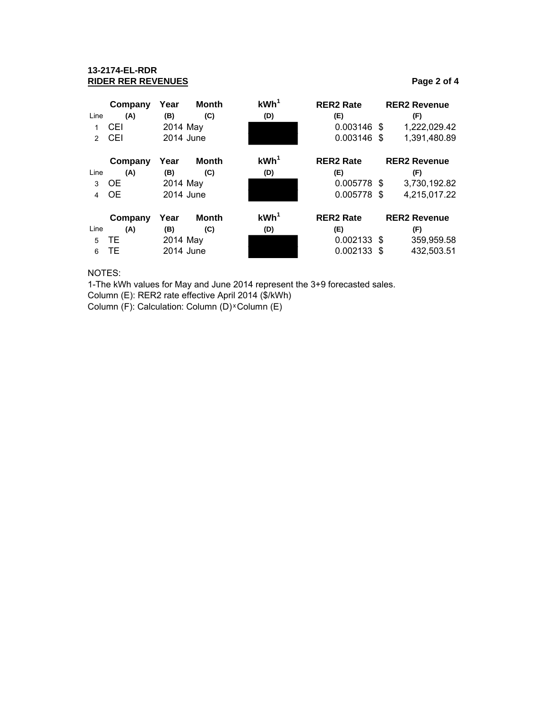# **13-2174-EL-RDR RIDER RER REVENUES Page 2 of 4**

|               | Company   | Year          | Month        | KWh <sup>1</sup> | <b>RER2 Rate</b> |                     | <b>RER2 Revenue</b> |  |
|---------------|-----------|---------------|--------------|------------------|------------------|---------------------|---------------------|--|
| Line          | (A)       | (B)           | (C)          | (D)              | (E)              |                     | (F)                 |  |
|               | CEI       | 2014 May      |              |                  | $0.003146$ \$    |                     | 1,222,029.42        |  |
| $\mathcal{P}$ | CEI       | 2014 June     |              |                  | 0.003146 \$      |                     | 1,391,480.89        |  |
|               | Company   | Month<br>Year |              | KWh <sup>1</sup> | <b>RER2 Rate</b> | <b>RER2 Revenue</b> |                     |  |
| Line          | (A)       | (B)           | (C)          | (D)              | (E)              |                     | (F)                 |  |
| 3             | <b>OE</b> | 2014 May      |              |                  | 0.005778 \$      |                     | 3,730,192.82        |  |
| 4             | <b>OE</b> | 2014 June     |              |                  | 0.005778 \$      |                     | 4,215,017.22        |  |
|               | Company   | Year          | <b>Month</b> | KWh <sup>1</sup> | <b>RER2 Rate</b> |                     | <b>RER2 Revenue</b> |  |
| Line          | (A)       | (B)           | (C)          | (D)              | (E)              |                     | (F)                 |  |
| 5             | TЕ        | 2014 May      |              |                  | $0.002133$ \$    |                     | 359,959.58          |  |
| 6             | TE        | 2014 June     |              |                  | 0.002133         | - \$                | 432,503.51          |  |

NOTES:

1-The kWh values for May and June 2014 represent the 3+9 forecasted sales.

Column (E): RER2 rate effective April 2014 (\$/kWh)

Column (F): Calculation: Column (D) × Column (E)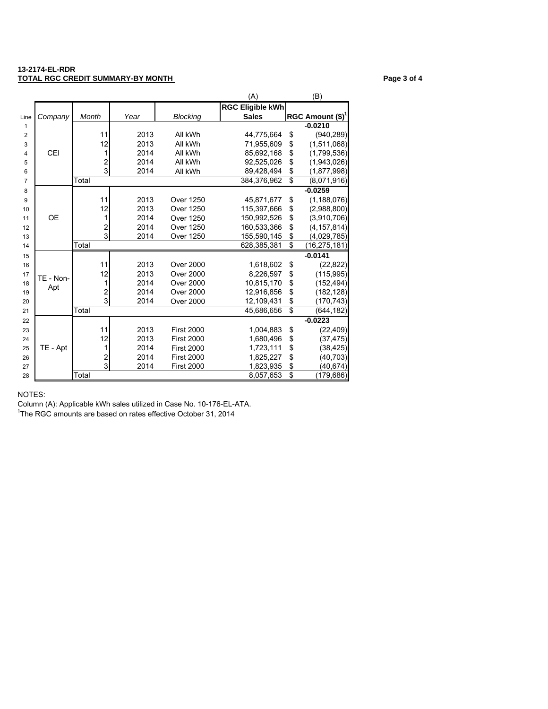### **13-2174-EL-RDR TOTAL RGC CREDIT SUMMARY-BY MONTH CONTRACT CONTRACT CONTRACT Page 3 of 4**

|                |            |                         |      |                   | (A)                     | (B)                  |
|----------------|------------|-------------------------|------|-------------------|-------------------------|----------------------|
|                |            |                         |      |                   | <b>RGC Eligible kWh</b> |                      |
| Line           | Company    | Month                   | Year | <b>Blocking</b>   | <b>Sales</b>            | RGC Amount $(\$)^1$  |
| $\mathbf{1}$   |            |                         |      |                   |                         | $-0.0210$            |
| 2              |            | 11                      | 2013 | All kWh           | 44,775,664              | \$<br>(940, 289)     |
| 3              |            | 12                      | 2013 | All kWh           | 71,955,609              | \$<br>(1,511,068)    |
| 4              | <b>CEI</b> | 1                       | 2014 | All kWh           | 85,692,168              | \$<br>(1,799,536)    |
| 5              |            | $\overline{\mathbf{c}}$ | 2014 | All kWh           | 92,525,026              | \$<br>(1,943,026)    |
| 6              |            | 3                       | 2014 | All kWh           | 89,428,494              | \$<br>(1,877,998)    |
| $\overline{7}$ |            | Total                   |      |                   | 384,376,962             | \$<br>(8,071,916)    |
| 8              |            |                         |      |                   |                         | $-0.0259$            |
| 9              |            | 11                      | 2013 | <b>Over 1250</b>  | 45,871,677              | \$<br>(1, 188, 076)  |
| 10             |            | 12                      | 2013 | <b>Over 1250</b>  | 115,397,666             | \$<br>(2,988,800)    |
| 11             | <b>OE</b>  | 1                       | 2014 | Over 1250         | 150,992,526             | \$<br>(3,910,706)    |
| 12             |            | $\overline{\mathbf{c}}$ | 2014 | <b>Over 1250</b>  | 160,533,366             | \$<br>(4, 157, 814)  |
| 13             |            | $\overline{3}$          | 2014 | <b>Over 1250</b>  | 155,590,145             | \$<br>(4,029,785)    |
| 14             |            | Total                   |      |                   | 628,385,381             | \$<br>(16, 275, 181) |
| 15             |            |                         |      |                   |                         | $-0.0141$            |
| 16             |            | 11                      | 2013 | <b>Over 2000</b>  | 1,618,602               | \$<br>(22, 822)      |
| 17             | TE - Non-  | 12                      | 2013 | <b>Over 2000</b>  | 8,226,597               | \$<br>(115, 995)     |
| 18             | Apt        | 1                       | 2014 | <b>Over 2000</b>  | 10,815,170              | \$<br>(152, 494)     |
| 19             |            | $\frac{2}{3}$           | 2014 | <b>Over 2000</b>  | 12,916,856              | \$<br>(182, 128)     |
| 20             |            |                         | 2014 | <b>Over 2000</b>  | 12,109,431              | \$<br>(170, 743)     |
| 21             |            | Total                   |      |                   | 45,686,656              | \$<br>(644, 182)     |
| 22             |            |                         |      |                   |                         | $-0.0223$            |
| 23             |            | 11                      | 2013 | <b>First 2000</b> | 1,004,883               | \$<br>(22, 409)      |
| 24             |            | 12                      | 2013 | <b>First 2000</b> | 1,680,496               | \$<br>(37, 475)      |
| 25             | TE - Apt   | 1                       | 2014 | <b>First 2000</b> | 1,723,111               | \$<br>(38, 425)      |
| 26             |            | $\frac{2}{3}$           | 2014 | <b>First 2000</b> | 1,825,227               | \$<br>(40, 703)      |
| 27             |            |                         | 2014 | <b>First 2000</b> | 1,823,935               | \$<br>(40, 674)      |
| 28             |            | Total                   |      |                   | 8,057,653               | \$<br>(179, 686)     |

NOTES:

Column (A): Applicable kWh sales utilized in Case No. 10-176-EL-ATA.

<sup>1</sup>The RGC amounts are based on rates effective October 31, 2014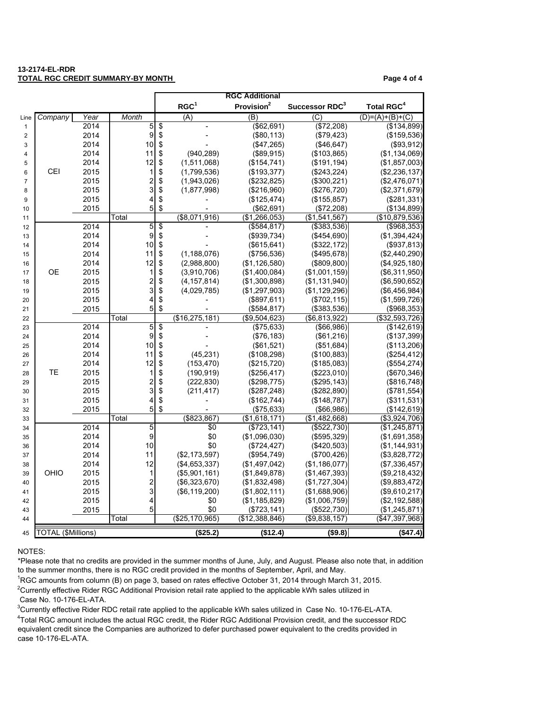### **13-2174-EL-RDR TOTAL RGC CREDIT SUMMARY-BY MONTH PAGE 4 of 4**

|                | <b>RGC Additional</b> |              |                         |    |                                |                                                      |                              |                                |
|----------------|-----------------------|--------------|-------------------------|----|--------------------------------|------------------------------------------------------|------------------------------|--------------------------------|
|                |                       |              |                         |    | RGC <sup>1</sup>               | Provision <sup>2</sup><br>Successor RDC <sup>3</sup> |                              | <b>Total RGC<sup>4</sup></b>   |
| Line           | Company               | Year         | Month                   |    | (A)                            | (B)                                                  | (C)                          | $(D)= (A)+(B)+(C)$             |
| 1              |                       | 2014         | 5                       | \$ |                                | (\$62,691)                                           | (\$72,208)                   | (\$134,899)                    |
| $\overline{c}$ |                       | 2014         | 9                       | \$ |                                | (\$80, 113)                                          | (\$79,423)                   | (\$159,536)                    |
| 3              |                       | 2014         | 10                      | \$ |                                | (\$47,265)                                           | (\$46,647)                   | (\$93,912)                     |
| 4              |                       | 2014         | 11                      | \$ | (940, 289)                     | (\$89,915)                                           | (\$103,865)                  | (\$1,134,069)                  |
| 5              |                       | 2014         | 12                      | \$ | (1,511,068)                    | (\$154,741)                                          | (\$191, 194)                 | (\$1,857,003)                  |
| 6              | CEI                   | 2015         | 1                       | \$ | (1,799,536)                    | (\$193,377)                                          | (\$243,224)                  | (\$2,236,137)                  |
| $\overline{7}$ |                       | 2015         | $\frac{2}{3}$           | \$ | (1,943,026)                    | (\$232,825)                                          | (\$300,221)                  | (\$2,476,071)                  |
| 8              |                       | 2015         |                         | \$ | (1,877,998)                    | (\$216,960)                                          | (\$276,720)                  | (\$2,371,679)                  |
| 9              |                       | 2015         | 4                       | \$ |                                | (\$125,474)                                          | (\$155, 857)                 | (\$281,331)                    |
| 10             |                       | 2015         | 5                       | \$ |                                | (\$62,691)                                           | (\$72,208)                   | (\$134,899)                    |
| 11             |                       |              | Total                   |    | (\$8,071,916)                  | (\$1,266,053)                                        | (\$1,541,567)                | (\$10,879,536)                 |
| 12             |                       | 2014         | 5                       | \$ |                                | (\$584,817)                                          | ( \$383.536)                 | $($ \$968,353)                 |
| 13             |                       | 2014         | 9                       | \$ |                                | (\$939.734)                                          | ( \$454, 690)                | (\$1,394,424)                  |
| 14             |                       | 2014         | 10                      | \$ |                                | (\$615,641)                                          | (\$322, 172)                 | (\$937,813)                    |
| 15             |                       | 2014         | 11                      | \$ | (1, 188, 076)                  | (\$756,536)                                          | (\$495,678)                  | (\$2,440,290)                  |
| 16             |                       | 2014         | 12                      | \$ | (2,988,800)                    | (\$1,126,580)                                        | (\$809, 800)                 | (\$4,925,180)                  |
| 17             | ОE                    | 2015         | $\mathbf{1}$            | \$ | (3,910,706)                    | (\$1,400,084)                                        | (\$1,001,159)                | (\$6,311,950)                  |
| 18             |                       | 2015         | $\overline{\mathbf{c}}$ | \$ | (4, 157, 814)                  | (\$1,300,898)                                        | (\$1,131,940)                | (\$6,590,652)                  |
| 19             |                       | 2015         | 3                       | \$ | (4,029,785)                    | (\$1,297,903)                                        | (\$1,129,296)                | (\$6,456,984)                  |
| 20             |                       | 2015         | 4                       | \$ |                                | (\$897, 611)                                         | (\$702, 115)                 | (\$1,599,726)                  |
| 21             |                       | 2015         | 5                       | \$ |                                | (\$584,817)                                          | ( \$383, 536)                | ( \$968, 353)                  |
| 22             |                       |              | Total                   |    | (\$16, 275, 181)               | (\$9,504,623)                                        | (\$6, 813, 922)              | (\$32,593,726)                 |
| 23             |                       | 2014         | $\overline{5}$          | \$ |                                | (\$75,633)                                           | ( \$66, 986)                 | (\$142, 619)                   |
| 24             |                       | 2014         | 9                       | \$ |                                | (\$76, 183)                                          | (\$61,216)                   | (\$137,399)                    |
| 25             |                       | 2014         | 10                      | \$ |                                | (\$61,521)                                           | (\$51,684)                   | (\$113,206)                    |
| 26             |                       | 2014         | 11                      | \$ | (45, 231)                      | (\$108,298)                                          | (\$100,883)                  | (\$254, 412)                   |
| 27             |                       | 2014         | 12                      | \$ | (153, 470)                     | (\$215,720)                                          | (\$185,083)                  | (\$554, 274)                   |
| 28             | ТE                    | 2015         | $\mathbf{1}$            | \$ | (190, 919)                     | (\$256, 417)                                         | (\$223,010)                  | (\$670,346)                    |
| 29             |                       | 2015         | $\frac{2}{3}$           | \$ | (222, 830)                     | (\$298,775)                                          | (\$295, 143)                 | (\$816,748)                    |
| 30             |                       | 2015         |                         | \$ | (211, 417)                     | (\$287, 248)                                         | (\$282,890)                  | (\$781,554)                    |
| 31             |                       | 2015         | 4                       | \$ |                                | (\$162,744)                                          | (\$148,787)                  | (\$311,531)                    |
| 32             |                       | 2015         | 5                       | \$ |                                | (\$75,633)                                           | ( \$66, 986)                 | (\$142, 619)                   |
| 33             |                       |              | Total<br>5              |    | (\$823, 867)                   | (\$1,618,171)<br>(\$723, 141)                        | (\$1,482,668)<br>(\$522,730) | (\$3,924,706)                  |
| 34             |                       | 2014         | 9                       |    | \$0<br>\$0                     |                                                      |                              | (\$1,245,871)                  |
| 35             |                       | 2014         | 10                      |    | \$0                            | (\$1,096,030)                                        | (\$595,329)                  | (\$1,691,358)                  |
| 36             |                       | 2014<br>2014 | 11                      |    |                                | (\$724, 427)                                         | (\$420,503)                  | (\$1,144,931)                  |
| 37             |                       | 2014         | 12                      |    | (\$2,173,597)                  | (\$954,749)<br>(\$1,497,042)                         | (\$700,426)<br>(\$1,186,077) | (\$3,828,772)<br>(\$7,336,457) |
| 38<br>39       | OHIO                  | 2015         | 1                       |    | (\$4,653,337)<br>(\$5,901,161) | (\$1,849,878)                                        | (\$1,467,393)                |                                |
| 40             |                       | 2015         | $\overline{\mathbf{c}}$ |    | (\$6,323,670)                  | (\$1,832,498)                                        | (\$1,727,304)                | (\$9,218,432)<br>(\$9,883,472) |
|                |                       | 2015         | 3                       |    | (\$6, 119, 200)                | (\$1,802,111)                                        | (\$1,688,906)                | (\$9,610,217)                  |
| 41<br>42       |                       | 2015         | 4                       |    | \$0                            | (\$1,185,829)                                        | (\$1,006,759)                | (\$2,192,588)                  |
| 43             |                       | 2015         | 5                       |    | \$0                            | (\$723, 141)                                         | (\$522,730)                  | (\$1,245,871)                  |
| 44             |                       |              | Total                   |    | (\$25,170,965)                 | (\$12,388,846)                                       | (\$9,838,157)                | ( \$47, 397, 968)              |
|                |                       |              |                         |    |                                |                                                      |                              |                                |
| 45             | TOTAL (\$Millions)    |              |                         |    | (\$25.2)                       | (\$12.4)                                             | $($ \$9.8)                   | (\$47.4)                       |

### NOTES:

\*Please note that no credits are provided in the summer months of June, July, and August. Please also note that, in addition to the summer months, there is no RGC credit provided in the months of September, April, and May.

RGC amounts from column (B) on page 3, based on rates effective October 31, 2014 through March 31, 2015.

<sup>2</sup>Currently effective Rider RGC Additional Provision retail rate applied to the applicable kWh sales utilized in Case No. 10-176-EL-ATA.

Currently effective Rider RDC retail rate applied to the applicable kWh sales utilized in Case No. 10-176-EL-ATA.

 Total RGC amount includes the actual RGC credit, the Rider RGC Additional Provision credit, and the successor RDC equivalent credit since the Companies are authorized to defer purchased power equivalent to the credits provided in case 10-176-EL-ATA.